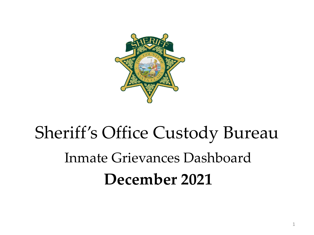

# Sheriff's Office Custody Bureau Inmate Grievances Dashboard **December 2021**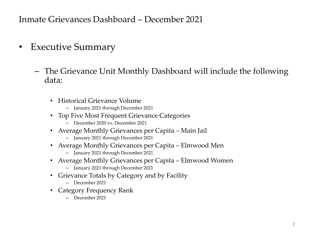- Executive Summary
	- The Grievance Unit Monthly Dashboard will include the following data:
		- Historical Grievance Volume
			- January 2021 through December 2021
		- Top Five Most Frequent Grievance Categories
			- December 2020 vs. December 2021
		- Average Monthly Grievances per Capita Main Jail
			- January 2021 through December 2021
		- Average Monthly Grievances per Capita Elmwood Men
			- January 2021 through December 2021
		- Average Monthly Grievances per Capita Elmwood Women
			- January 2021 through December 2021
		- Grievance Totals by Category and by Facility
			- December 2021
		- Category Frequency Rank
			- December 2021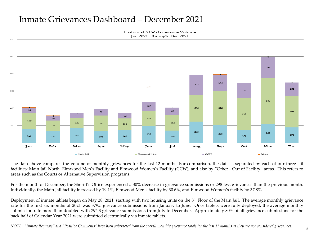Historical ACeS Grievance Volume Jan 2021 through Dec 2021



The data above compares the volume of monthly grievances for the last 12 months. For comparison, the data is separated by each of our three jail facilities: Main Jail North, Elmwood Men's Facility and Elmwood Women's Facility (CCW), and also by "Other - Out of Facility" areas. This refers to areas such as the Courts or Alternative Supervision programs.

For the month of December, the Sheriff's Office experienced a 30% decrease in grievance submissions or 298 less grievances than the previous month. Individually, the Main Jail facility increased by 19.1%, Elmwood Men's facility by 30.6%, and Elmwood Women's facility by 37.8%.

Deployment of inmate tablets began on May 28, 2021, starting with two housing units on the 8<sup>th</sup> Floor of the Main Jail. The average monthly grievance rate for the first six months of 2021 was 379.5 grievance submissions from January to June. Once tablets were fully deployed, the average monthly submission rate more than doubled with 792.3 grievance submissions from July to December. Approximately 80% of all grievance submissions for the back half of Calendar Year 2021 were submitted electronically via inmate tablets.

NOTE: "Inmate Requests" and "Positive Comments" have been subtracted from the overall monthly grievance totals for the last 12 months as they are not considered grievances.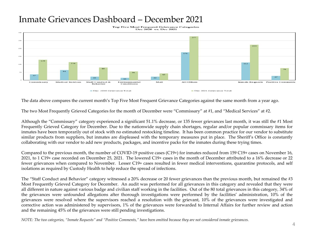Top Five Most Frequent Grievance Categories Dec 2020 vs. Dec 2021



The data above compares the current month's Top Five Most Frequent Grievance Categories against the same month from a year ago.

The two Most Frequently Grieved Categories for the month of December were "Commissary" at #1, and "Medical Services" at #2.

Although the "Commissary" category experienced a significant 51.1% decrease, or 135 fewer grievances last month, it was still the #1 Most Frequently Grieved Category for December. Due to the nationwide supply chain shortages, regular and/or popular commissary items for inmates have been temporarily out of stock with no estimated restocking timeline. It has been common practice for our vendor to substitute similar products from suppliers, but inmates are displeased with the temporary measures put in place. The Sheriff's Office is constantly collaborating with our vendor to add new products, packages, and incentive packs for the inmates during these trying times.

Compared to the previous month, the number of COVID-19 positive cases (C19+) for inmates reduced from 159 C19+ cases on November 16, 2021, to 1 C19+ case recorded on December 25, 2021. The lowered C19+ cases in the month of December attributed to a 16% decrease or 22 fewer grievances when compared to November. Lesser C19+ cases resulted in fewer medical interventions, quarantine protocols, and self isolations as required by Custody Health to help reduce the spread of infections.

The "Staff Conduct and Behavior" category witnessed a 20% decrease or 20 fewer grievances than the previous month, but remained the #3 Most Frequently Grieved Category for December. An audit was performed for all grievances in this category and revealed that they were all different in nature against various badge and civilian staff working in the facilities. Out of the 80 total grievances in this category, 34% of the grievances were unfounded allegations after thorough investigations were performed by the facilities' administration, 10% of the grievances were resolved where the supervisors reached a resolution with the grievant, 10% of the grievances were investigated and corrective action was administered by supervisors, 1% of the grievances were forwarded to Internal Affairs for further review and action and the remaining 45% of the grievances were still pending investigations.

NOTE: The two categories, "Inmate Requests" and "Positive Comments," have been omitted because they are not considered inmate grievances.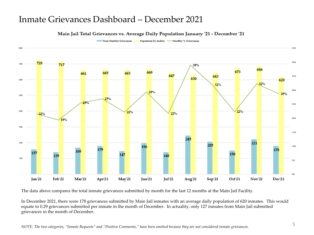### Main Jail Total Grievances vs. Average Daily Population January '21 - December '21

Total Monthly Grievances Population by facility -Aonthly % /Grievances



The data above compares the total inmate grievances submitted by month for the last 12 months at the Main Jail Facility.

In December 2021, there were 178 grievances submitted by Main Jail inmates with an average daily population of 620 inmates. This would equate to 0.29 grievances submitted per inmate in the month of December. In actuality, only 127 inmates from Main Jail submitted grievances in the month of December.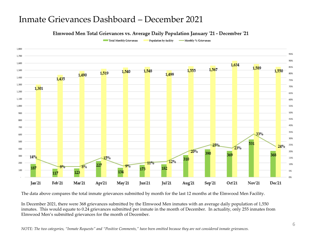## Elmwood Men Total Grievances vs. Average Daily Population January '21 - December '21

Total Monthly Grievances

Population by facility - - Monthly % /Grievances



The data above compares the total inmate grievances submitted by month for the last 12 months at the Elmwood Men Facility.

In December 2021, there were 368 grievances submitted by the Elmwood Men inmates with an average daily population of 1,550 inmates. This would equate to 0.24 grievances submitted per inmate in the month of December. In actuality, only 255 inmates from Elmwood Men's submitted grievances for the month of December.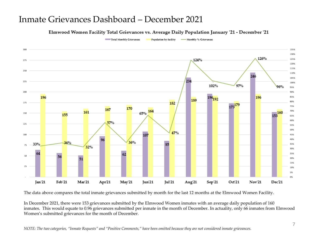#### Elmwood Women Facility Total Grievances vs. Average Daily Population January '21 - December '21

Total Monthly Grievances

Population by facility - Monthly % /Grievances



The data above compares the total inmate grievances submitted by month for the last 12 months at the Elmwood Women Facility.

In December 2021, there were 153 grievances submitted by the Elmwood Women inmates with an average daily population of 160 inmates. This would equate to 0.96 grievances submitted per inmate in the month of December. In actuality, only 66 inmates from Elmwood Women's submitted grievances for the month of December.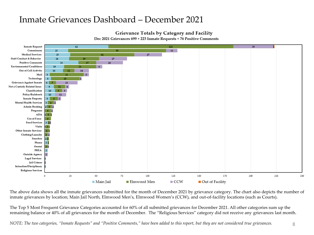## Grievance Totals by Category and Facility

Dec 2021 Grievances 699 + 223 Inmate Requests + 76 Positive Comments



The above data shows all the inmate grievances submitted for the month of December 2021 by grievance category. The chart also depicts the number of inmate grievances by location; Main Jail North, Elmwood Men's, Elmwood Women's (CCW), and out-of-facility locations (such as Courts).

The Top 5 Most Frequent Grievance Categories accounted for 60% of all submitted grievances for December 2021. All other categories sum up the remaining balance or 40% of all grievances for the month of December. The "Religious Services" category did not receive any grievances last month.

*NOTE: The two categories, "Inmate Requests" and "Positive Comments," have been added to this report, but they are not considered true grievances.* 8